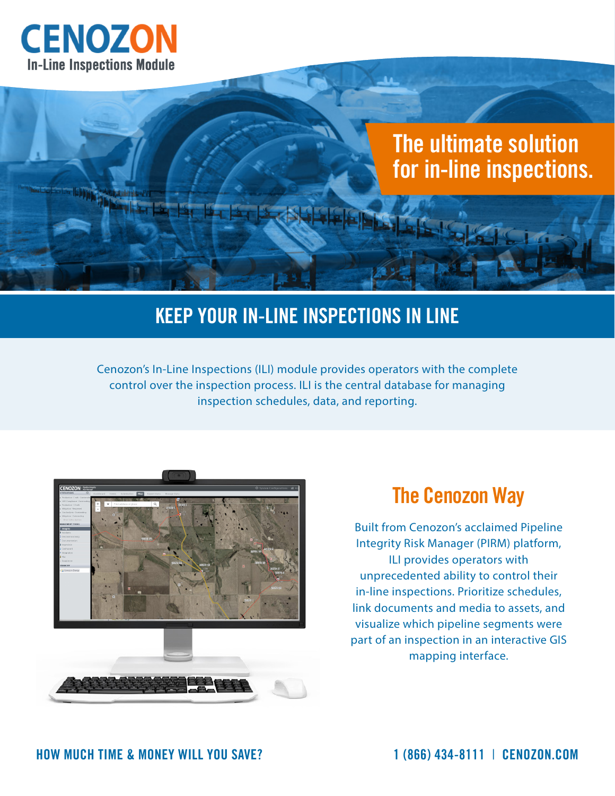

# **The ultimate solution for in-line inspections.**

#### **KEEP YOUR IN-LINE INSPECTIONS IN LINE**

Cenozon's In-Line Inspections (ILI) module provides operators with the complete control over the inspection process. ILI is the central database for managing inspection schedules, data, and reporting.



#### **The Cenozon Way**

Built from Cenozon's acclaimed Pipeline Integrity Risk Manager (PIRM) platform, ILI provides operators with unprecedented ability to control their in-line inspections. Prioritize schedules, link documents and media to assets, and visualize which pipeline segments were part of an inspection in an interactive GIS mapping interface.